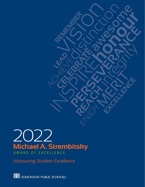## **Michael A. Strembitsky** 2022 AWARD OF EXCELLENCE

*Honouring Student Excellence*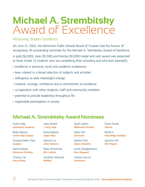# **Michael A. Strembitsky**  Award of Excellence

#### *Honouring Student Excellence*

On June 21, 2022, the Edmonton Public Schools Board of Trustees had the honour of recognizing 18 outstanding nominees for the Michael A. Strembitsky Award of Excellence.

A gold (\$2,000), silver (\$1,500) and bronze (\$1,000) medal and cash award was presented to three Grade 12 students who are completing their schooling and who best exemplify:

- excellence in personal, social and academic endeavours
- keen interest in a broad selection of subjects and activities
- willingness to seek meaningful change
- initiative, courage, confidence and a commitment to excellence
- co-operation with other students, staff and community members
- potential to provide leadership throughout life
- responsible participation in society

### **Michael A. Strembitsky Award Nominees**

| Dustin Edgi               | Laiba Shaikh           | Sarah Salami               |
|---------------------------|------------------------|----------------------------|
| amiskwaciy Academy        | J. Percy Page          | <b>Millwoods Christian</b> |
| Reda Alamari              | Karina Banerji         | Helen Pan                  |
| <b>Centre High Campus</b> | <b>Jasper Place</b>    | <b>Old Scona</b>           |
| Gustavo Marin Trejo       | Hannah Liu             | Ayesha Irfan               |
| <b>Eastglen</b>           | <b>Lillian Osborne</b> | <b>Queen Elizabeth</b>     |
| Ioana Dascalu             | <b>Macy Armstrong</b>  | Jonah Zwaigenbaum          |
| <b>Edmonton Christian</b> | M.E. LaZerte           | <b>Ross Sheppard</b>       |
| Cheney Cai                | Jonathan Afowork       | Juliana Concini            |
| <b>Harry Ainlay</b>       | <b>McNally</b>         | <b>Strathcona</b>          |

Grace Tunski *Victoria*

Nicole Li *Vimy Ridge Academy*

Jasmine Virk *W.P. Wagner*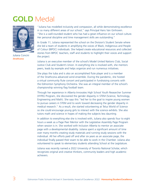## **GOLD** Medal



Juliana Concini *Strathcona*

"Juliana has modelled inclusivity and compassion, all while demonstrating excellence in so many different areas of our school," says Principal Hans Van Ginhoven. "She is a well-rounded student who has had a great influence on our school culture. Her personal discipline and time management skills are outstanding."

In Grade 11, Juliana represented the school on the Division's Student Senate where she led a team of students in amplifying the voices of Black, Indigenous and People of Colour (BIPOC) individuals. She helped create educational resources and collected stories from BIPOC teachers, staff and students to highlight their voices and support the project.

Juliana is an executive member of the school's Model United Nations Club, Social Justice Club and Student's Union. In everything she is involved with, she mentors peers, leads by example and helps organize and run numerous initiatives.

She plays the tuba and is also an accomplished flute player and is a member of the Strathcona advanced wind ensemble. During the pandemic, she hosted a virtual community flute concert and participated in fundraising concerts with the Edmonton Symphony Orchestra. She was an integral member of the school's championship winning flag football team.

Through her experience in Alberta Innovates High School Youth Researcher Summer (HYRS) Program, she discovered the gender disparity in STEM (Science, Technology, Engineering and Math). She says this "led her to the goal to inspire young women to pursue careers in STEM and to work toward decreasing the gender disparity in medical research." As a result, she started volunteering at Telus World of Science so she could encourage young girls to interact with the science exhibits. She also tutors math and science in hopes of making the subjects less daunting.

In addition to everything else she is involved with, Juliana also spends four to eight hours a week as a Page Peer Mentor with the Legislative Assembly Page Program when session is in. She worked with Inclusion Alberta to mentor an associate page with a developmental disability. Juliana spent a significant amount of time over many months creating study materials and running study sessions with the individual. All her efforts paid off and after six years as an associate page, the individual finally passed their exam to be able to work in the Chamber. Juliana also volunteered to speak to elementary students attending School at the Legislature.

Juliana was recently named a 2022 University of Toronto National Scholar, which recognizes original and creative thinkers, community leaders and high academic achievers.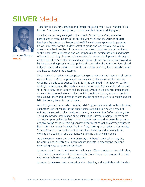## **SILVER** Medal



Jonathan Afowork *McNally* 

"Jonathan is a socially conscious and thoughtful young man," says Principal Krista Mulder. "He is committed to not just doing well but rather to doing good."

Jonathan was actively engaged in the school's Social Justice Club, where he participated in many initiatives like anti-bullying week and the Alliance of Black Employee Experience and Leadership's (ABEEL) anti-racism sponsorship program. He was a member of the Student Activities group and was actively involved in athletics as a lead member of the cross country team. Jonathan was a contributor to the Tiger Times publication and was responsible for setting deadlines and topics of interest, including pieces on science-related issues and developments. He helped anchor the school's weekly news and announcements and his peers look forward to his humour and approach. He also published an op-ed in the Edmonton Journal and Calgary Herald, addressing poor educational outcomes among Black Canadian youth and how to improve the outcomes.

Since Grade 4, Jonathan has competed in regional, national and international science competitions. In 2018, he presented his research on skin cancer at the Carleton University Canada-wide science fair. In 2019, he presented his research on wireless vital sign monitoring in Abu Dhabi as a member of Team Canada at the Movement for Leisure Activities in Science and Technology (MILSET) Exp-Sciences International an event focusing exclusively on the scientific creativity of young aspirant scientists from all over the world. Jonathan shared that being the only Black Canadian student left him feeling like a fish out of water.

As a first generation Canadian, Jonathan didn't grow up in a family with professional connections or knowledge of the opportunities available to him. As a result of noticing the gap with other family and friends, he created the CoCurriculum guide. This guide provides information about internships, summer programs, conferences and other opportunities for high school students. He worked to make the resource available to the school's Learning Services department as well as community groups like the ELITE Program for Black Youth. In fact, ABEEL gave Jonathan a Community Service Award for his creation of CoCurriculum. Jonathan and a classmate are working on creating an app that functions like the CoCurriculum guide.

As the youngest researcher at the University of Alberta's stem cell biology lab, he works alongside PhD and undergraduate students in regenerative medicine, researching ways to repair human tissue.

Jonathan shared that through working with many different people on many initiatives, "This helped me understand the idea of collective efficacy—how we need to trust each other, believing in our shared capacity."

Jonathan has received various awards and scholarships, and is McNally's valedictorian.